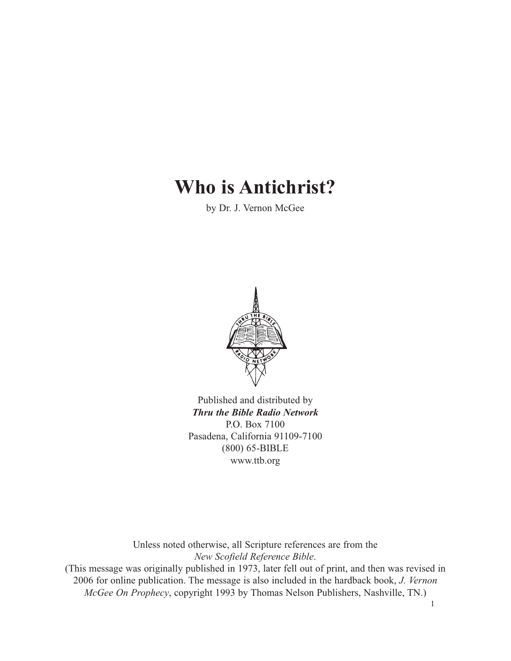# **Who is Antichrist?**

by Dr. J. Vernon McGee



Published and distributed by *Thru the Bible Radio Network* P.O. Box 7100 Pasadena, California 91109-7100 (800) 65-BIBLE www.ttb.org

Unless noted otherwise, all Scripture references are from the *New Scofield Reference Bible*. (This message was originally published in 1973, later fell out of print, and then was revised in 2006 for online publication. The message is also included in the hardback book, *J. Vernon*

*McGee On Prophecy*, copyright 1993 by Thomas Nelson Publishers, Nashville, TN.)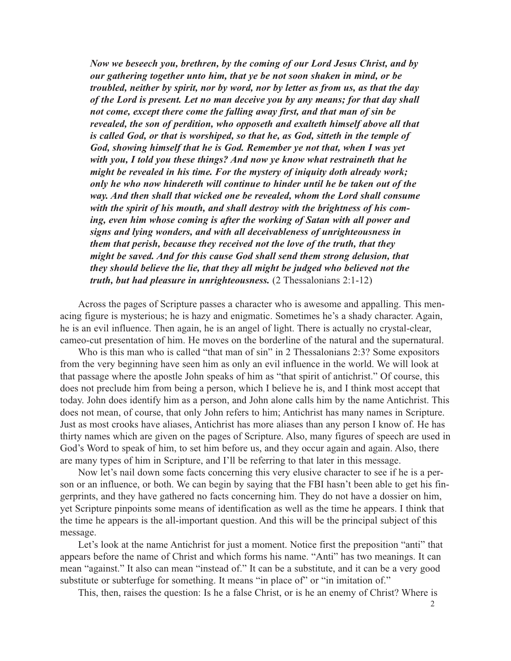*Now we beseech you, brethren, by the coming of our Lord Jesus Christ, and by our gathering together unto him, that ye be not soon shaken in mind, or be troubled, neither by spirit, nor by word, nor by letter as from us, as that the day of the Lord is present. Let no man deceive you by any means; for that day shall not come, except there come the falling away first, and that man of sin be revealed, the son of perdition, who opposeth and exalteth himself above all that is called God, or that is worshiped, so that he, as God, sitteth in the temple of God, showing himself that he is God. Remember ye not that, when I was yet with you, I told you these things? And now ye know what restraineth that he might be revealed in his time. For the mystery of iniquity doth already work; only he who now hindereth will continue to hinder until he be taken out of the way. And then shall that wicked one be revealed, whom the Lord shall consume with the spirit of his mouth, and shall destroy with the brightness of his coming, even him whose coming is after the working of Satan with all power and signs and lying wonders, and with all deceivableness of unrighteousness in them that perish, because they received not the love of the truth, that they might be saved. And for this cause God shall send them strong delusion, that they should believe the lie, that they all might be judged who believed not the truth, but had pleasure in unrighteousness.* (2 Thessalonians 2:1-12)

Across the pages of Scripture passes a character who is awesome and appalling. This menacing figure is mysterious; he is hazy and enigmatic. Sometimes he's a shady character. Again, he is an evil influence. Then again, he is an angel of light. There is actually no crystal-clear, cameo-cut presentation of him. He moves on the borderline of the natural and the supernatural.

Who is this man who is called "that man of sin" in 2 Thessalonians 2:3? Some expositors from the very beginning have seen him as only an evil influence in the world. We will look at that passage where the apostle John speaks of him as "that spirit of antichrist." Of course, this does not preclude him from being a person, which I believe he is, and I think most accept that today. John does identify him as a person, and John alone calls him by the name Antichrist. This does not mean, of course, that only John refers to him; Antichrist has many names in Scripture. Just as most crooks have aliases, Antichrist has more aliases than any person I know of. He has thirty names which are given on the pages of Scripture. Also, many figures of speech are used in God's Word to speak of him, to set him before us, and they occur again and again. Also, there are many types of him in Scripture, and I'll be referring to that later in this message.

Now let's nail down some facts concerning this very elusive character to see if he is a person or an influence, or both. We can begin by saying that the FBI hasn't been able to get his fingerprints, and they have gathered no facts concerning him. They do not have a dossier on him, yet Scripture pinpoints some means of identification as well as the time he appears. I think that the time he appears is the all-important question. And this will be the principal subject of this message.

Let's look at the name Antichrist for just a moment. Notice first the preposition "anti" that appears before the name of Christ and which forms his name. "Anti" has two meanings. It can mean "against." It also can mean "instead of." It can be a substitute, and it can be a very good substitute or subterfuge for something. It means "in place of" or "in imitation of."

This, then, raises the question: Is he a false Christ, or is he an enemy of Christ? Where is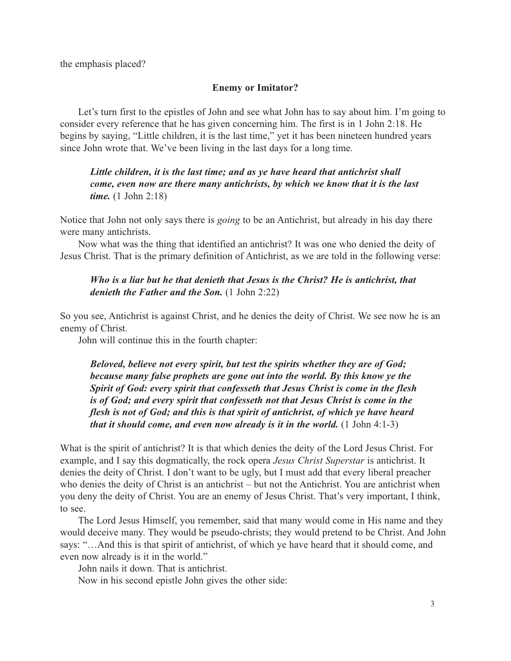the emphasis placed?

#### **Enemy or Imitator?**

Let's turn first to the epistles of John and see what John has to say about him. I'm going to consider every reference that he has given concerning him. The first is in 1 John 2:18. He begins by saying, "Little children, it is the last time," yet it has been nineteen hundred years since John wrote that. We've been living in the last days for a long time.

# *Little children, it is the last time; and as ye have heard that antichrist shall come, even now are there many antichrists, by which we know that it is the last time.* (1 John 2:18)

Notice that John not only says there is *going* to be an Antichrist, but already in his day there were many antichrists.

Now what was the thing that identified an antichrist? It was one who denied the deity of Jesus Christ. That is the primary definition of Antichrist, as we are told in the following verse:

# *Who is a liar but he that denieth that Jesus is the Christ? He is antichrist, that denieth the Father and the Son.* (1 John 2:22)

So you see, Antichrist is against Christ, and he denies the deity of Christ. We see now he is an enemy of Christ.

John will continue this in the fourth chapter:

*Beloved, believe not every spirit, but test the spirits whether they are of God; because many false prophets are gone out into the world. By this know ye the Spirit of God: every spirit that confesseth that Jesus Christ is come in the flesh is of God; and every spirit that confesseth not that Jesus Christ is come in the flesh is not of God; and this is that spirit of antichrist, of which ye have heard that it should come, and even now already is it in the world.* (1 John 4:1-3)

What is the spirit of antichrist? It is that which denies the deity of the Lord Jesus Christ. For example, and I say this dogmatically, the rock opera *Jesus Christ Superstar* is antichrist. It denies the deity of Christ. I don't want to be ugly, but I must add that every liberal preacher who denies the deity of Christ is an antichrist – but not the Antichrist. You are antichrist when you deny the deity of Christ. You are an enemy of Jesus Christ. That's very important, I think, to see.

The Lord Jesus Himself, you remember, said that many would come in His name and they would deceive many. They would be pseudo-christs; they would pretend to be Christ. And John says: "…And this is that spirit of antichrist, of which ye have heard that it should come, and even now already is it in the world."

John nails it down. That is antichrist.

Now in his second epistle John gives the other side: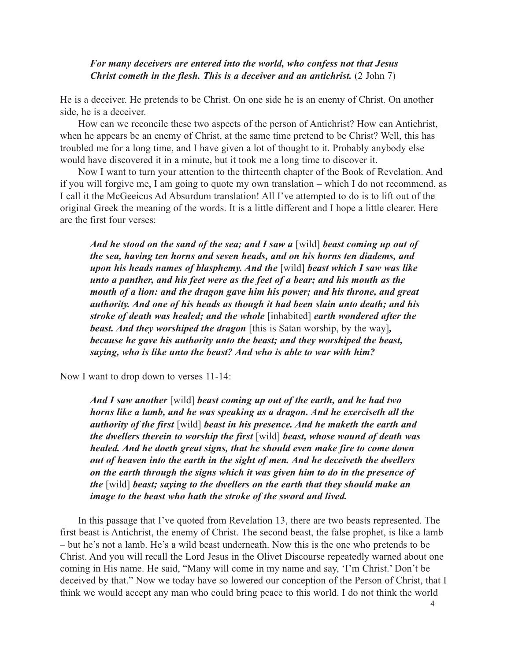#### *For many deceivers are entered into the world, who confess not that Jesus Christ cometh in the flesh. This is a deceiver and an antichrist.* (2 John 7)

He is a deceiver. He pretends to be Christ. On one side he is an enemy of Christ. On another side, he is a deceiver.

How can we reconcile these two aspects of the person of Antichrist? How can Antichrist, when he appears be an enemy of Christ, at the same time pretend to be Christ? Well, this has troubled me for a long time, and I have given a lot of thought to it. Probably anybody else would have discovered it in a minute, but it took me a long time to discover it.

Now I want to turn your attention to the thirteenth chapter of the Book of Revelation. And if you will forgive me, I am going to quote my own translation – which I do not recommend, as I call it the McGeeicus Ad Absurdum translation! All I've attempted to do is to lift out of the original Greek the meaning of the words. It is a little different and I hope a little clearer. Here are the first four verses:

*And he stood on the sand of the sea; and I saw a* [wild] *beast coming up out of the sea, having ten horns and seven heads, and on his horns ten diadems, and upon his heads names of blasphemy. And the* [wild] *beast which I saw was like unto a panther, and his feet were as the feet of a bear; and his mouth as the mouth of a lion: and the dragon gave him his power; and his throne, and great authority. And one of his heads as though it had been slain unto death; and his stroke of death was healed; and the whole* [inhabited] *earth wondered after the beast. And they worshiped the dragon* [this is Satan worship, by the way]*, because he gave his authority unto the beast; and they worshiped the beast, saying, who is like unto the beast? And who is able to war with him?*

Now I want to drop down to verses 11-14:

*And I saw another* [wild] *beast coming up out of the earth, and he had two horns like a lamb, and he was speaking as a dragon. And he exerciseth all the authority of the first* [wild] *beast in his presence. And he maketh the earth and the dwellers therein to worship the first* [wild] *beast, whose wound of death was healed. And he doeth great signs, that he should even make fire to come down out of heaven into the earth in the sight of men. And he deceiveth the dwellers on the earth through the signs which it was given him to do in the presence of the* [wild] *beast; saying to the dwellers on the earth that they should make an image to the beast who hath the stroke of the sword and lived.*

In this passage that I've quoted from Revelation 13, there are two beasts represented. The first beast is Antichrist, the enemy of Christ. The second beast, the false prophet, is like a lamb – but he's not a lamb. He's a wild beast underneath. Now this is the one who pretends to be Christ. And you will recall the Lord Jesus in the Olivet Discourse repeatedly warned about one coming in His name. He said, "Many will come in my name and say, 'I'm Christ.' Don't be deceived by that." Now we today have so lowered our conception of the Person of Christ, that I think we would accept any man who could bring peace to this world. I do not think the world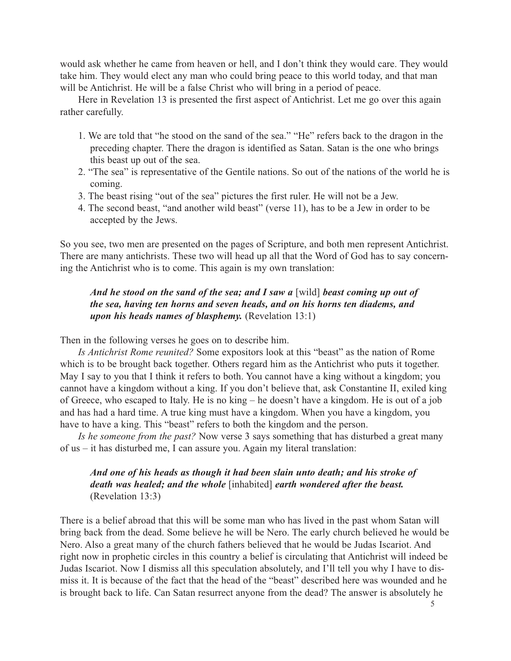would ask whether he came from heaven or hell, and I don't think they would care. They would take him. They would elect any man who could bring peace to this world today, and that man will be Antichrist. He will be a false Christ who will bring in a period of peace.

Here in Revelation 13 is presented the first aspect of Antichrist. Let me go over this again rather carefully.

- 1. We are told that "he stood on the sand of the sea." "He" refers back to the dragon in the preceding chapter. There the dragon is identified as Satan. Satan is the one who brings this beast up out of the sea.
- 2. "The sea" is representative of the Gentile nations. So out of the nations of the world he is coming.
- 3. The beast rising "out of the sea" pictures the first ruler. He will not be a Jew.
- 4. The second beast, "and another wild beast" (verse 11), has to be a Jew in order to be accepted by the Jews.

So you see, two men are presented on the pages of Scripture, and both men represent Antichrist. There are many antichrists. These two will head up all that the Word of God has to say concerning the Antichrist who is to come. This again is my own translation:

# *And he stood on the sand of the sea; and I saw a [wild] beast coming up out of the sea, having ten horns and seven heads, and on his horns ten diadems, and upon his heads names of blasphemy.* (Revelation 13:1)

Then in the following verses he goes on to describe him.

*Is Antichrist Rome reunited?* Some expositors look at this "beast" as the nation of Rome which is to be brought back together. Others regard him as the Antichrist who puts it together. May I say to you that I think it refers to both. You cannot have a king without a kingdom; you cannot have a kingdom without a king. If you don't believe that, ask Constantine II, exiled king of Greece, who escaped to Italy. He is no king – he doesn't have a kingdom. He is out of a job and has had a hard time. A true king must have a kingdom. When you have a kingdom, you have to have a king. This "beast" refers to both the kingdom and the person.

*Is he someone from the past?* Now verse 3 says something that has disturbed a great many of us – it has disturbed me, I can assure you. Again my literal translation:

# *And one of his heads as though it had been slain unto death; and his stroke of death was healed; and the whole* [inhabited] *earth wondered after the beast.* (Revelation 13:3)

There is a belief abroad that this will be some man who has lived in the past whom Satan will bring back from the dead. Some believe he will be Nero. The early church believed he would be Nero. Also a great many of the church fathers believed that he would be Judas Iscariot. And right now in prophetic circles in this country a belief is circulating that Antichrist will indeed be Judas Iscariot. Now I dismiss all this speculation absolutely, and I'll tell you why I have to dismiss it. It is because of the fact that the head of the "beast" described here was wounded and he is brought back to life. Can Satan resurrect anyone from the dead? The answer is absolutely he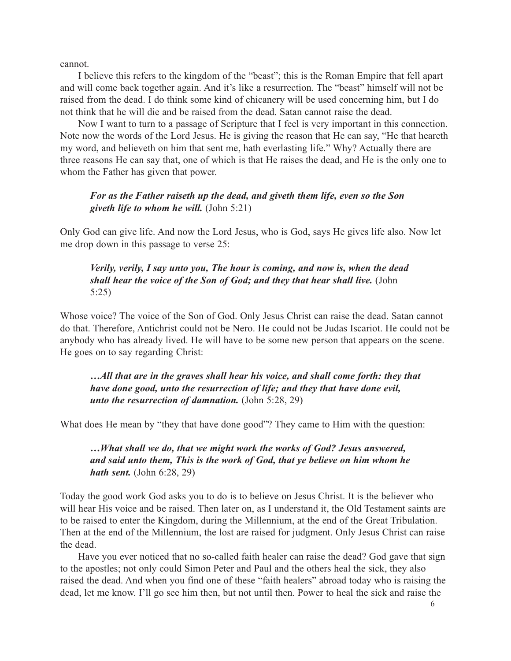cannot.

I believe this refers to the kingdom of the "beast"; this is the Roman Empire that fell apart and will come back together again. And it's like a resurrection. The "beast" himself will not be raised from the dead. I do think some kind of chicanery will be used concerning him, but I do not think that he will die and be raised from the dead. Satan cannot raise the dead.

Now I want to turn to a passage of Scripture that I feel is very important in this connection. Note now the words of the Lord Jesus. He is giving the reason that He can say, "He that heareth my word, and believeth on him that sent me, hath everlasting life." Why? Actually there are three reasons He can say that, one of which is that He raises the dead, and He is the only one to whom the Father has given that power.

## *For as the Father raiseth up the dead, and giveth them life, even so the Son giveth life to whom he will.* (John 5:21)

Only God can give life. And now the Lord Jesus, who is God, says He gives life also. Now let me drop down in this passage to verse 25:

# *Verily, verily, I say unto you, The hour is coming, and now is, when the dead shall hear the voice of the Son of God; and they that hear shall live.* (John 5:25)

Whose voice? The voice of the Son of God. Only Jesus Christ can raise the dead. Satan cannot do that. Therefore, Antichrist could not be Nero. He could not be Judas Iscariot. He could not be anybody who has already lived. He will have to be some new person that appears on the scene. He goes on to say regarding Christ:

*…All that are in the graves shall hear his voice, and shall come forth: they that have done good, unto the resurrection of life; and they that have done evil, unto the resurrection of damnation.* (John 5:28, 29)

What does He mean by "they that have done good"? They came to Him with the question:

*…What shall we do, that we might work the works of God? Jesus answered, and said unto them, This is the work of God, that ye believe on him whom he hath sent.* (John 6:28, 29)

Today the good work God asks you to do is to believe on Jesus Christ. It is the believer who will hear His voice and be raised. Then later on, as I understand it, the Old Testament saints are to be raised to enter the Kingdom, during the Millennium, at the end of the Great Tribulation. Then at the end of the Millennium, the lost are raised for judgment. Only Jesus Christ can raise the dead.

Have you ever noticed that no so-called faith healer can raise the dead? God gave that sign to the apostles; not only could Simon Peter and Paul and the others heal the sick, they also raised the dead. And when you find one of these "faith healers" abroad today who is raising the dead, let me know. I'll go see him then, but not until then. Power to heal the sick and raise the

6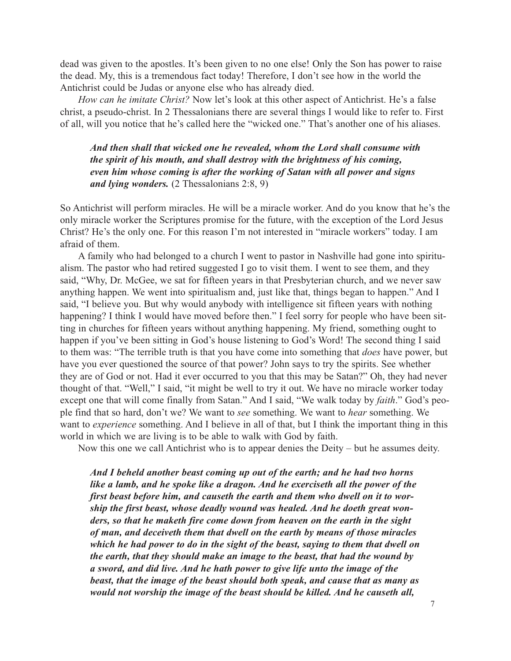dead was given to the apostles. It's been given to no one else! Only the Son has power to raise the dead. My, this is a tremendous fact today! Therefore, I don't see how in the world the Antichrist could be Judas or anyone else who has already died.

*How can he imitate Christ?* Now let's look at this other aspect of Antichrist. He's a false christ, a pseudo-christ. In 2 Thessalonians there are several things I would like to refer to. First of all, will you notice that he's called here the "wicked one." That's another one of his aliases.

*And then shall that wicked one he revealed, whom the Lord shall consume with the spirit of his mouth, and shall destroy with the brightness of his coming, even him whose coming is after the working of Satan with all power and signs and lying wonders.* (2 Thessalonians 2:8, 9)

So Antichrist will perform miracles. He will be a miracle worker. And do you know that he's the only miracle worker the Scriptures promise for the future, with the exception of the Lord Jesus Christ? He's the only one. For this reason I'm not interested in "miracle workers" today. I am afraid of them.

A family who had belonged to a church I went to pastor in Nashville had gone into spiritualism. The pastor who had retired suggested I go to visit them. I went to see them, and they said, "Why, Dr. McGee, we sat for fifteen years in that Presbyterian church, and we never saw anything happen. We went into spiritualism and, just like that, things began to happen." And I said, "I believe you. But why would anybody with intelligence sit fifteen years with nothing happening? I think I would have moved before then." I feel sorry for people who have been sitting in churches for fifteen years without anything happening. My friend, something ought to happen if you've been sitting in God's house listening to God's Word! The second thing I said to them was: "The terrible truth is that you have come into something that *does* have power, but have you ever questioned the source of that power? John says to try the spirits. See whether they are of God or not. Had it ever occurred to you that this may be Satan?" Oh, they had never thought of that. "Well," I said, "it might be well to try it out. We have no miracle worker today except one that will come finally from Satan." And I said, "We walk today by *faith*." God's people find that so hard, don't we? We want to *see* something. We want to *hear* something. We want to *experience* something. And I believe in all of that, but I think the important thing in this world in which we are living is to be able to walk with God by faith.

Now this one we call Antichrist who is to appear denies the Deity – but he assumes deity.

*And I beheld another beast coming up out of the earth; and he had two horns like a lamb, and he spoke like a dragon. And he exerciseth all the power of the first beast before him, and causeth the earth and them who dwell on it to worship the first beast, whose deadly wound was healed. And he doeth great wonders, so that he maketh fire come down from heaven on the earth in the sight of man, and deceiveth them that dwell on the earth by means of those miracles which he had power to do in the sight of the beast, saying to them that dwell on the earth, that they should make an image to the beast, that had the wound by a sword, and did live. And he hath power to give life unto the image of the beast, that the image of the beast should both speak, and cause that as many as would not worship the image of the beast should be killed. And he causeth all,*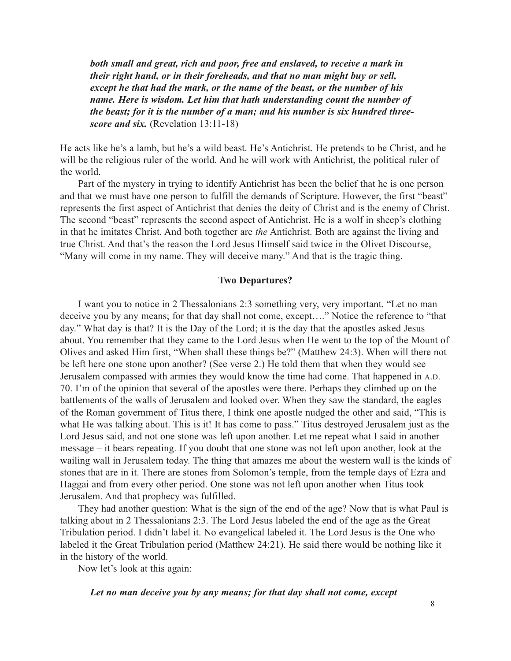*both small and great, rich and poor, free and enslaved, to receive a mark in their right hand, or in their foreheads, and that no man might buy or sell, except he that had the mark, or the name of the beast, or the number of his name. Here is wisdom. Let him that hath understanding count the number of the beast; for it is the number of a man; and his number is six hundred threescore and six.* (Revelation 13:11-18)

He acts like he's a lamb, but he's a wild beast. He's Antichrist. He pretends to be Christ, and he will be the religious ruler of the world. And he will work with Antichrist, the political ruler of the world.

Part of the mystery in trying to identify Antichrist has been the belief that he is one person and that we must have one person to fulfill the demands of Scripture. However, the first "beast" represents the first aspect of Antichrist that denies the deity of Christ and is the enemy of Christ. The second "beast" represents the second aspect of Antichrist. He is a wolf in sheep's clothing in that he imitates Christ. And both together are *the* Antichrist. Both are against the living and true Christ. And that's the reason the Lord Jesus Himself said twice in the Olivet Discourse, "Many will come in my name. They will deceive many." And that is the tragic thing.

#### **Two Departures?**

I want you to notice in 2 Thessalonians 2:3 something very, very important. "Let no man deceive you by any means; for that day shall not come, except…." Notice the reference to "that day." What day is that? It is the Day of the Lord; it is the day that the apostles asked Jesus about. You remember that they came to the Lord Jesus when He went to the top of the Mount of Olives and asked Him first, "When shall these things be?" (Matthew 24:3). When will there not be left here one stone upon another? (See verse 2.) He told them that when they would see Jerusalem compassed with armies they would know the time had come. That happened in A.D. 70. I'm of the opinion that several of the apostles were there. Perhaps they climbed up on the battlements of the walls of Jerusalem and looked over. When they saw the standard, the eagles of the Roman government of Titus there, I think one apostle nudged the other and said, "This is what He was talking about. This is it! It has come to pass." Titus destroyed Jerusalem just as the Lord Jesus said, and not one stone was left upon another. Let me repeat what I said in another message – it bears repeating. If you doubt that one stone was not left upon another, look at the wailing wall in Jerusalem today. The thing that amazes me about the western wall is the kinds of stones that are in it. There are stones from Solomon's temple, from the temple days of Ezra and Haggai and from every other period. One stone was not left upon another when Titus took Jerusalem. And that prophecy was fulfilled.

They had another question: What is the sign of the end of the age? Now that is what Paul is talking about in 2 Thessalonians 2:3. The Lord Jesus labeled the end of the age as the Great Tribulation period. I didn't label it. No evangelical labeled it. The Lord Jesus is the One who labeled it the Great Tribulation period (Matthew 24:21). He said there would be nothing like it in the history of the world.

Now let's look at this again:

*Let no man deceive you by any means; for that day shall not come, except*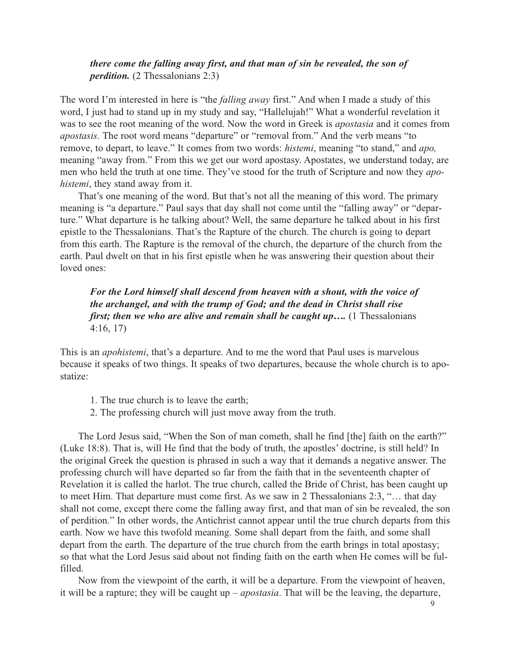## *there come the falling away first, and that man of sin be revealed, the son of perdition.* (2 Thessalonians 2:3)

The word I'm interested in here is "the *falling away* first." And when I made a study of this word, I just had to stand up in my study and say, "Hallelujah!" What a wonderful revelation it was to see the root meaning of the word. Now the word in Greek is *apostasia* and it comes from *apostasis*. The root word means "departure" or "removal from." And the verb means "to remove, to depart, to leave." It comes from two words: *histemi*, meaning "to stand," and *apo,* meaning "away from." From this we get our word apostasy. Apostates, we understand today, are men who held the truth at one time. They've stood for the truth of Scripture and now they *apohistemi*, they stand away from it.

That's one meaning of the word. But that's not all the meaning of this word. The primary meaning is "a departure." Paul says that day shall not come until the "falling away" or "departure." What departure is he talking about? Well, the same departure he talked about in his first epistle to the Thessalonians. That's the Rapture of the church. The church is going to depart from this earth. The Rapture is the removal of the church, the departure of the church from the earth. Paul dwelt on that in his first epistle when he was answering their question about their loved ones:

*For the Lord himself shall descend from heaven with a shout, with the voice of the archangel, and with the trump of God; and the dead in Christ shall rise first; then we who are alive and remain shall be caught up....* (1 Thessalonians 4:16, 17)

This is an *apohistemi*, that's a departure. And to me the word that Paul uses is marvelous because it speaks of two things. It speaks of two departures, because the whole church is to apostatize:

- 1. The true church is to leave the earth;
- 2. The professing church will just move away from the truth.

The Lord Jesus said, "When the Son of man cometh, shall he find [the] faith on the earth?" (Luke 18:8). That is, will He find that the body of truth, the apostles' doctrine, is still held? In the original Greek the question is phrased in such a way that it demands a negative answer. The professing church will have departed so far from the faith that in the seventeenth chapter of Revelation it is called the harlot. The true church, called the Bride of Christ, has been caught up to meet Him. That departure must come first. As we saw in 2 Thessalonians 2:3, "… that day shall not come, except there come the falling away first, and that man of sin be revealed, the son of perdition." In other words, the Antichrist cannot appear until the true church departs from this earth. Now we have this twofold meaning. Some shall depart from the faith, and some shall depart from the earth. The departure of the true church from the earth brings in total apostasy; so that what the Lord Jesus said about not finding faith on the earth when He comes will be fulfilled.

Now from the viewpoint of the earth, it will be a departure. From the viewpoint of heaven, it will be a rapture; they will be caught up – *apostasia*. That will be the leaving, the departure,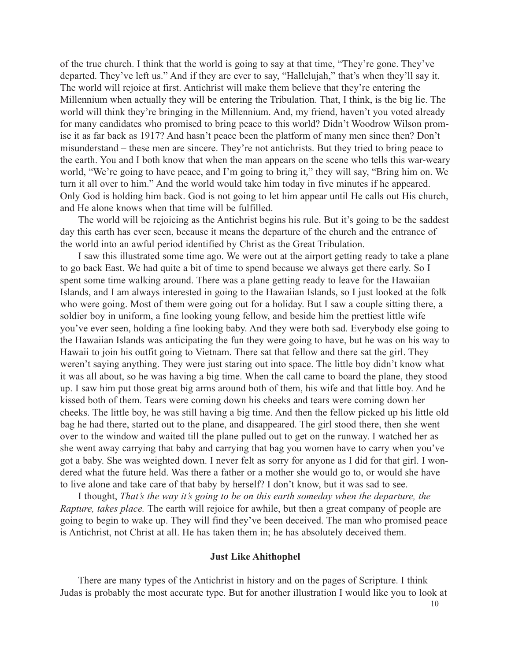of the true church. I think that the world is going to say at that time, "They're gone. They've departed. They've left us." And if they are ever to say, "Hallelujah," that's when they'll say it. The world will rejoice at first. Antichrist will make them believe that they're entering the Millennium when actually they will be entering the Tribulation. That, I think, is the big lie. The world will think they're bringing in the Millennium. And, my friend, haven't you voted already for many candidates who promised to bring peace to this world? Didn't Woodrow Wilson promise it as far back as 1917? And hasn't peace been the platform of many men since then? Don't misunderstand – these men are sincere. They're not antichrists. But they tried to bring peace to the earth. You and I both know that when the man appears on the scene who tells this war-weary world, "We're going to have peace, and I'm going to bring it," they will say, "Bring him on. We turn it all over to him." And the world would take him today in five minutes if he appeared. Only God is holding him back. God is not going to let him appear until He calls out His church, and He alone knows when that time will be fulfilled.

The world will be rejoicing as the Antichrist begins his rule. But it's going to be the saddest day this earth has ever seen, because it means the departure of the church and the entrance of the world into an awful period identified by Christ as the Great Tribulation.

I saw this illustrated some time ago. We were out at the airport getting ready to take a plane to go back East. We had quite a bit of time to spend because we always get there early. So I spent some time walking around. There was a plane getting ready to leave for the Hawaiian Islands, and I am always interested in going to the Hawaiian Islands, so I just looked at the folk who were going. Most of them were going out for a holiday. But I saw a couple sitting there, a soldier boy in uniform, a fine looking young fellow, and beside him the prettiest little wife you've ever seen, holding a fine looking baby. And they were both sad. Everybody else going to the Hawaiian Islands was anticipating the fun they were going to have, but he was on his way to Hawaii to join his outfit going to Vietnam. There sat that fellow and there sat the girl. They weren't saying anything. They were just staring out into space. The little boy didn't know what it was all about, so he was having a big time. When the call came to board the plane, they stood up. I saw him put those great big arms around both of them, his wife and that little boy. And he kissed both of them. Tears were coming down his cheeks and tears were coming down her cheeks. The little boy, he was still having a big time. And then the fellow picked up his little old bag he had there, started out to the plane, and disappeared. The girl stood there, then she went over to the window and waited till the plane pulled out to get on the runway. I watched her as she went away carrying that baby and carrying that bag you women have to carry when you've got a baby. She was weighted down. I never felt as sorry for anyone as I did for that girl. I wondered what the future held. Was there a father or a mother she would go to, or would she have to live alone and take care of that baby by herself? I don't know, but it was sad to see.

I thought, *That's the way it's going to be on this earth someday when the departure, the Rapture, takes place.* The earth will rejoice for awhile, but then a great company of people are going to begin to wake up. They will find they've been deceived. The man who promised peace is Antichrist, not Christ at all. He has taken them in; he has absolutely deceived them.

#### **Just Like Ahithophel**

There are many types of the Antichrist in history and on the pages of Scripture. I think Judas is probably the most accurate type. But for another illustration I would like you to look at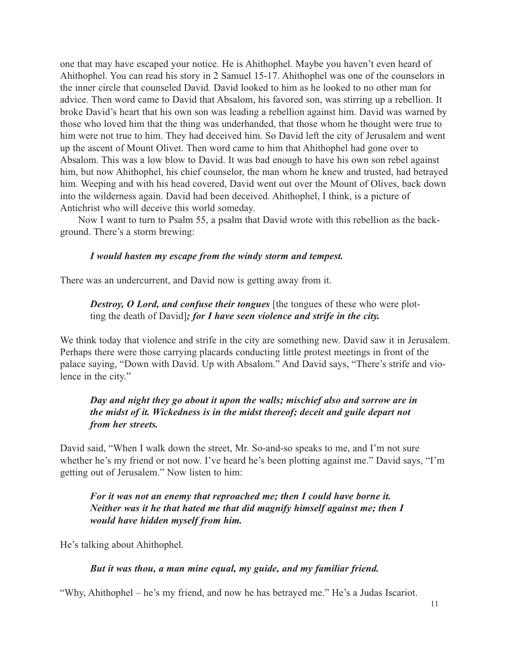one that may have escaped your notice. He is Ahithophel. Maybe you haven't even heard of Ahithophel. You can read his story in 2 Samuel 15-17. Ahithophel was one of the counselors in the inner circle that counseled David. David looked to him as he looked to no other man for advice. Then word came to David that Absalom, his favored son, was stirring up a rebellion. It broke David's heart that his own son was leading a rebellion against him. David was warned by those who loved him that the thing was underhanded, that those whom he thought were true to him were not true to him. They had deceived him. So David left the city of Jerusalem and went up the ascent of Mount Olivet. Then word came to him that Ahithophel had gone over to Absalom. This was a low blow to David. It was bad enough to have his own son rebel against him, but now Ahithophel, his chief counselor, the man whom he knew and trusted, had betrayed him. Weeping and with his head covered, David went out over the Mount of Olives, back down into the wilderness again. David had been deceived. Ahithophel, I think, is a picture of Antichrist who will deceive this world someday.

Now I want to turn to Psalm 55, a psalm that David wrote with this rebellion as the background. There's a storm brewing:

#### *I would hasten my escape from the windy storm and tempest.*

There was an undercurrent, and David now is getting away from it.

# *Destroy, O Lord, and confuse their tongues* [the tongues of these who were plotting the death of David]*; for I have seen violence and strife in the city.*

We think today that violence and strife in the city are something new. David saw it in Jerusalem. Perhaps there were those carrying placards conducting little protest meetings in front of the palace saying, "Down with David. Up with Absalom." And David says, "There's strife and violence in the city."

# *Day and night they go about it upon the walls; mischief also and sorrow are in the midst of it. Wickedness is in the midst thereof; deceit and guile depart not from her streets.*

David said, "When I walk down the street, Mr. So-and-so speaks to me, and I'm not sure whether he's my friend or not now. I've heard he's been plotting against me." David says, "I'm getting out of Jerusalem." Now listen to him:

*For it was not an enemy that reproached me; then I could have borne it. Neither was it he that hated me that did magnify himself against me; then I would have hidden myself from him.*

He's talking about Ahithophel.

#### *But it was thou, a man mine equal, my guide, and my familiar friend.*

"Why, Ahithophel – he's my friend, and now he has betrayed me." He's a Judas Iscariot.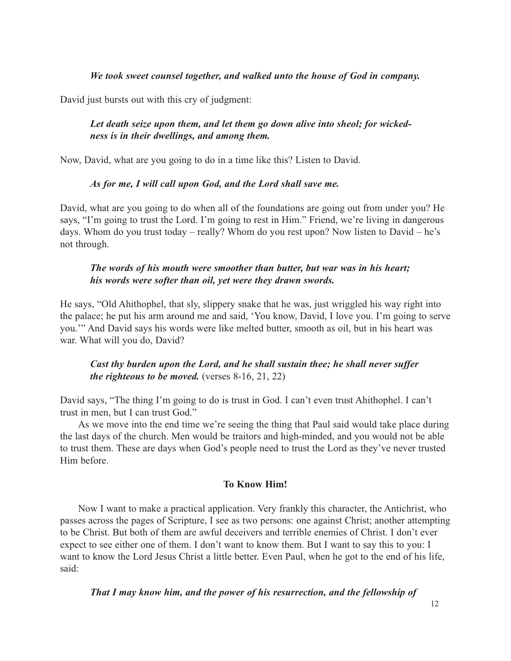#### *We took sweet counsel together, and walked unto the house of God in company.*

David just bursts out with this cry of judgment:

# *Let death seize upon them, and let them go down alive into sheol; for wickedness is in their dwellings, and among them.*

Now, David, what are you going to do in a time like this? Listen to David.

#### *As for me, I will call upon God, and the Lord shall save me.*

David, what are you going to do when all of the foundations are going out from under you? He says, "I'm going to trust the Lord. I'm going to rest in Him." Friend, we're living in dangerous days. Whom do you trust today – really? Whom do you rest upon? Now listen to David – he's not through.

# *The words of his mouth were smoother than butter, but war was in his heart; his words were softer than oil, yet were they drawn swords.*

He says, "Old Ahithophel, that sly, slippery snake that he was, just wriggled his way right into the palace; he put his arm around me and said, 'You know, David, I love you. I'm going to serve you.'" And David says his words were like melted butter, smooth as oil, but in his heart was war. What will you do, David?

# *Cast thy burden upon the Lord, and he shall sustain thee; he shall never suffer the righteous to be moved.* (verses 8-16, 21, 22)

David says, "The thing I'm going to do is trust in God. I can't even trust Ahithophel. I can't trust in men, but I can trust God."

As we move into the end time we're seeing the thing that Paul said would take place during the last days of the church. Men would be traitors and high-minded, and you would not be able to trust them. These are days when God's people need to trust the Lord as they've never trusted Him before.

#### **To Know Him!**

Now I want to make a practical application. Very frankly this character, the Antichrist, who passes across the pages of Scripture, I see as two persons: one against Christ; another attempting to be Christ. But both of them are awful deceivers and terrible enemies of Christ. I don't ever expect to see either one of them. I don't want to know them. But I want to say this to you: I want to know the Lord Jesus Christ a little better. Even Paul, when he got to the end of his life, said:

*That I may know him, and the power of his resurrection, and the fellowship of*